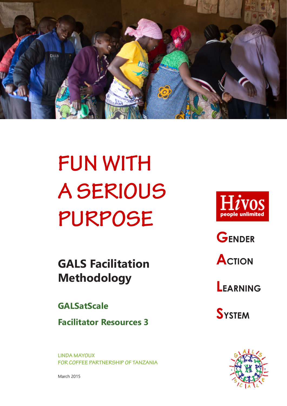

# **FUN WITH A SERIOUS PURPOSE**

**GALS Facilitation Methodology**

## **GALSatScale**

**Facilitator Resources 3**

**LINDA MAYOUX FOR COFFEE PARTNERSHIP OF TANZANIA**



**GENDER**

**ACTION** 

**LEARNING** 

**SYSTEM**



March 2015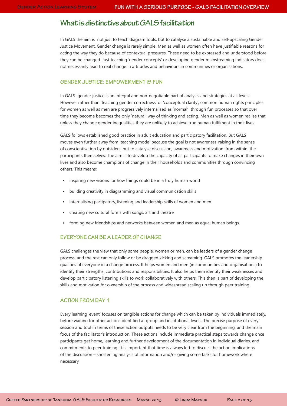## **What is distinctive about GALS facilitation**

In GALS the aim is not just to teach diagram tools, but to catalyse a sustainable and self-upscaling Gender Justice Movement. Gender change is rarely simple. Men as well as women often have justifiable reasons for acting the way they do because of contextual pressures. These need to be expressed and understood before they can be changed. Just teaching 'gender concepts' or developing gender mainstreaming indicators does not necessarily lead to real change in attitudes and behaviours in communities or organisations.

#### **GENDER JUSTICE: EMPOWERMENT IS FUN**

In GALS gender justice is an integral and non-negotiable part of analysis and strategies at all levels. However rather than 'teaching gender correctness' or 'conceptual clarity', common human rights principles for women as well as men are progressively internalised as 'normal' through fun processes so that over time they become becomes the only 'natural' way of thinking and acting. Men as well as women realise that unless they change gender inequalities they are unlikely to achieve true human fulfilment in their lives.

GALS follows established good practice in adult education and participatory facilitation. But GALS moves even further away from 'teaching mode' because the goal is not awareness-raising in the sense of conscientisation by outsiders, but to catalyse discussion, awareness and motivation 'from within' the participants themselves. The aim is to develop the capacity of all participants to make changes in their own lives and also become champions of change in their households and communities through convincing others. This means:

- inspiring new visions for how things could be in a truly human world
- building creativity in diagramming and visual communication skills
- internalising partipatory, listening and leadership skills of women and men
- creating new cultural forms with songs, art and theatre
- forming new friendships and networks between women and men as equal human beings.

#### **EVERYONE CAN BE A LEADER OF CHANGE**

GALS challenges the view that only some people, women or men, can be leaders of a gender change process, and the rest can only follow or be dragged kicking and screaming. GALS promotes the leadership qualities of everyone in a change process. It helps women and men (in communities and organisations) to identify their strengths, contributions and responsibilities. It also helps them identify their weaknesses and develop participatory listening skills to work collaboratively with others. This then is part of developing the skills and motivation for ownership of the process and widespread scaling up through peer training.

#### **ACTION FROM DAY 1**

Every learning 'event' focuses on tangible actions for change which can be taken by individuals immediately, before waiting for other actions identified at group and institutional levels. The precise purpose of every session and tool in terms of these action outputs needs to be very clear from the beginning, and the main focus of the facilitator's introduction. These actions include immediate practical steps towards change once participants get home, learning and further development of the documentation in individual diaries, and commitments to peer training. It is important that time is always left to discuss the action implications of the discussion – shortening analysis of information and/or giving some tasks for homework where necessary.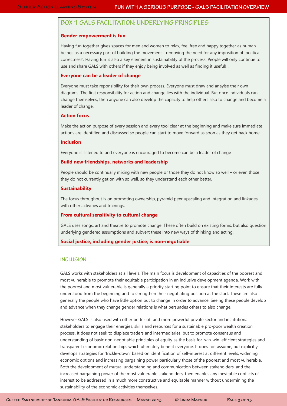## **BOX 1 GALS FACILITATION: UNDERLYING PRINCIPLES**

#### **Gender empowerment is fun**

Having fun together gives spaces for men and women to relax, feel free and happy together as human beings as a necessary part of building the movement - removing the need for any imposition of 'political correctness'. Having fun is also a key element in sustainability of the process. People will only continue to use and share GALS with others if they enjoy being involved as well as finding it useful!!!

#### **Everyone can be a leader of change**

Everyone must take reponsibility for their own process. Everyone must draw and anaylse their own diagrams. The first responsibility for action and change lies with the individual. But once individuals can change themselves, then anyone can also develop the capacity to help others also to change and become a leader of change.

#### **Action focus**

Make the action purpose of every session and every tool clear at the beginning and make sure immediate actions are identified and discussed so people can start to move forward as soon as they get back home.

#### **Inclusion**

Everyone is listened to and everyone is encouraged to become can be a leader of change

#### **Build new friendships, networks and leadership**

People should be continually mixing with new people or those they do not know so well – or even those they do not currently get on with so well, so they understand each other better.

#### **Sustainability**

The focus throughout is on promoting ownership, pyramid peer upscaling and integration and linkages with other activities and trainings.

#### **From cultural sensitivity to cultural change**

GALS uses songs, art and theatre to promote change. These often build on existing forms, but also question underlying gendered assumptions and subvert these into new ways of thinking and acting.

#### **Social justice, including gender justice, is non-negotiable**

#### **INCLUSION**

GALS works with stakeholders at all levels. The main focus is development of capacities of the poorest and most vulnerable to promote their equitable participation in an inclusive development agenda. Work with the poorest and most vulnerable is generally a priority starting point to ensure that their interests are fully understood from the beginning and to strengthen their negotiating position at the start. These are also generally the people who have little option but to change in order to advance. Seeing these people develop and advance when they change gender relations is what persuades others to also change.

However GALS is also used with other better-off and more powerful private sector and institutional stakeholders to engage their energies, skills and resources for a sustainable pro-poor wealth creation process. It does not seek to displace traders and intermediaries, but to promote consensus and understanding of basic non-negotiable principles of equity as the basis for 'win-win' efficient strategies and transparent economic relationships which ultimately benefit everyone. It does not assume, but explicitly develops strategies for 'trickle-down' based on identification of self-interest at different levels, widening economic options and increasing bargaining power particularly those of the poorest and most vulnerable. Both the development of mutual understanding and communication between stakeholders, and the increased bargaining power of the most vulnerable stakeholders, then enables any inevitable conflicts of interest to be addressed in a much more constructive and equitable manner without undermining the sustainability of the economic activities themselves.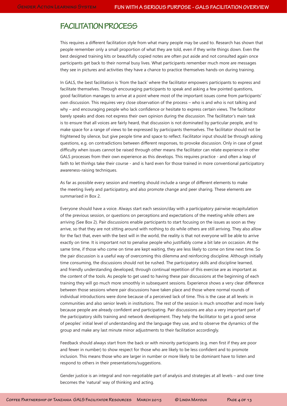## **FACILITATION PROCESS**

This requires a different facilitation style from what many people may be used to. Research has shown that people remember only a small proportion of what they are told, even if they write things down. Even the best designed training kits or beautifully copied notes are often put aside and not consulted again once participants get back to their normal busy lives. What participants remember much more are messages they see in pictures and activities they have a chance to practice themselves hands-on during training.

In GALS, the best facilitation is 'from the back' where the facilitator empowers participants to express and facilitate themselves. Through encouraging participants to speak and asking a few pointed questions, good facilitation manages to arrive at a point where most of the important issues come from participants' own discussion. This requires very close observation of the process – who is and who is not talking and why – and encouraging people who lack confidence or hesitate to express certain views. The facilitator barely speaks and does not express their own opinion during the discussion. The facilitator's main task is to ensure that all voices are fairly heard, that discussion is not dominated by particular people, and to make space for a range of views to be expressed by participants themselves. The facilitator should not be frightened by silence, but give people time and space to reflect. Facilitator input should be through asking questions, e.g. on contradictions between different responses, to provoke discussion. Only in case of great difficulty when issues cannot be raised through other means the facilitator can relate experience in other GALS processes from their own experience as this develops. This requires practice - and often a leap of faith to let thinhgs take their course - and is hard even for those trained in more conventional participatory awareness-raising techniques.

As far as possible every session and meeting should include a range of different elements to make the meeting lively and participatory, and also promote change and peer sharing. These elements are summarised in Box 2.

Everyone should have a voice. Always start each session/day with a participatory pairwise recapitulation of the previous session, or questions on perceptions and expectations of the meeting while others are arriving (See Box 2). Pair discussions enable participants to start focusing on the issues as soon as they arrive, so that they are not sitting around with nothing to do while others are still arriving. They also allow for the fact that, even with the best will in the world, the reality is that not everyone will be able to arrive exactly on time. It is important not to penalise people who justifiably come a bit late on occasion. At the same time, if those who come on time are kept waiting, they are less likely to come on time next time. So the pair discussion is a useful way of overcoming this dilemma and reinforcing discipline. Although initially time consuming, the discussions should not be rushed. The participatory skills and discipline learned, and friendly understanding developed, through continual repetition of this exercise are as important as the content of the tools. As people to get used to having these pair discussions at the beginning of each training they will go much more smoothly in subsequent sessions. Experience shows a very clear difference between those sessions where pair discussions have taken place and those where normal rounds of individual introductions were done because of a perceived lack of time. This is the case at all levels: in communities and also senior levels in institutions. The rest of the session is much smoother and more lively because people are already confident and participating. Pair discussions are also a very important part of the participatory skills training and network development. They help the facilitator to get a good sense of peoples' initial level of understanding and the language they use, and to observe the dynamics of the group and make any last minute minor adjustments to their facilitation accordingly.

Feedback should always start from the back or with minority participants (e.g. men first if they are poor and fewer in number) to show respect for those who are likely to be less confident and to promote inclusion. This means those who are larger in number or more likely to be dominant have to listen and respond to others in their presentations/suggestions.

Gender justice is an integral and non-negotiable part of analysis and strategies at all levels – and over time becomes the 'natural' way of thinking and acting.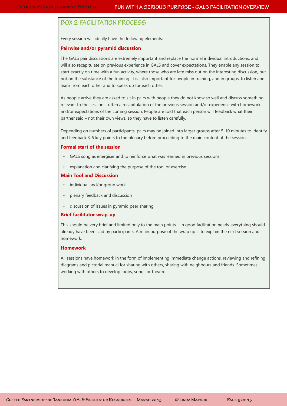## **BOX 2 FACILITATION PROCESS**

Every session will ideally have the following elements:

#### **Pairwise and/or pyramid discussion**

The GALS pair discussions are extremely important and replace the normal individual introductions, and will also recapitulate on previous experience in GALS and cover expectations. They enable any session to start exactly on time with a fun activity, where those who are late miss out on the interesting discussion, but not on the substance of the training. It is also important for people in training, and in groups, to listen and learn from each other and to speak up for each other.

As people arrive they are asked to sit in pairs with people they do not know so well and discuss something relevant to the session – often a recapitulation of the previous session and/or experience with homework and/or expectations of the coming session. People are told that each person will feedback what their partner said – not their own views, so they have to listen carefully.

Depending on numbers of participants, pairs may be joined into larger groups after 5-10 minutes to identify and feedback 3-5 key points to the plenary before proceeding to the main content of the session.

#### **Formal start of the session**

- GALS song as energiser and to reinforce what was learned in previous sessions
- explanation and clarifying the purpose of the tool or exercise

#### **Main Tool and Discussion**

- individual and/or group work
- plenary feedback and discussion
- discussion of issues in pyramid peer sharing

#### **Brief facilitator wrap-up**

This should be very brief and limited only to the main points – in good facilitation nearly everything should already have been said by participants. A main purpose of the wrap up is to explain the next session and homework.

#### **Homework**

All sessions have homework in the form of implementing immediate change actions, reviewing and refining diagrams and pictorial manual for sharing with others, sharing with neighbours and friends. Sometimes working with others to develop logos, songs or theatre.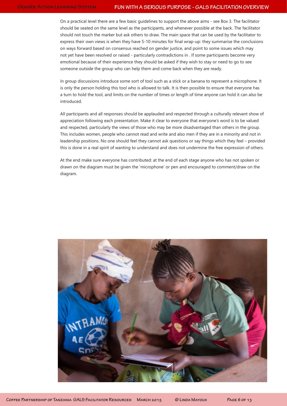On a practical level there are a few basic guidelines to support the above aims - see Box 3. The facilitator should be seated on the same level as the participants, and whenever possible at the back. The facilitator should not touch the marker but ask others to draw. The main space that can be used by the facilitator to express their own views is when they have 5-10 minutes for final wrap-up: they summarise the conclusions on ways forward based on consensus reached on gender justice, and point to some issues which may not yet have been resolved or raised - particularly contradictions in . If some participants become very emotional because of their experience they should be asked if they wish to stay or need to go to see someone outside the group who can help them and come back when they are ready.

In group discussions introduce some sort of tool such as a stick or a banana to represent a microphone. It is only the person holding this tool who is allowed to talk. It is then possible to ensure that everyone has a turn to hold the tool, and limits on the number of times or length of time anyone can hold it can also be introduced.

All participants and all responses should be applauded and respected through a culturally relevant show of appreciation following each presentation. Make it clear to everyone that everyone's word is to be valued and respected, particularly the views of those who may be more disadvantaged than others in the group. This includes women, people who cannot read and write and also men if they are in a minority and not in leadership positions. No one should feel they cannot ask questions or say things which they feel – provided this is done in a real spirit of wanting to understand and does not undermine the free expression of others.

At the end make sure everyone has contributed: at the end of each stage anyone who has not spoken or drawn on the diagram must be given the 'microphone' or pen and encouraged to comment/draw on the diagram.

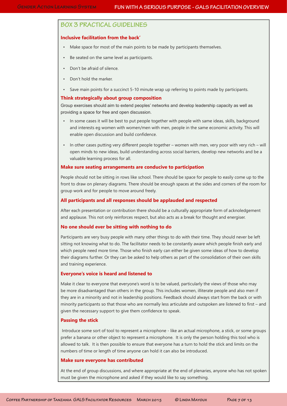## **BOX 3 PRACTICAL GUIDELINES**

#### **Inclusive facilitation from the back'**

- Make space for most of the main points to be made by participants themselves.
- Be seated on the same level as participants.
- Don't be afraid of silence.
- Don't hold the marker.
- Save main points for a succinct 5-10 minute wrap up referring to points made by participants.

#### **Think strategically about group composition**

Group exercises should aim to extend peoples' networks and develop leadership capacity as well as providing a space for free and open discussion.

- In some cases it will be best to put people together with people with same ideas, skills, background and interests eg women with women/men with men, people in the same economic activity. This will enable open discussion and build confidence.
- In other cases putting very different people together women with men, very poor with very rich will open minds to new ideas, build understanding across social barriers, develop new networks and be a valuable learning process for all.

#### **Make sure seating arrangements are conducive to participation**

People should not be sitting in rows like school. There should be space for people to easily come up to the front to draw on plenary diagrams. There should be enough spaces at the sides and corners of the room for group work and for people to move around freely.

#### **All participants and all responses should be applauded and respected**

After each presentation or contribution there should be a culturally appropriate form of acknoledgement and applause. This not only reinforces respect, but also acts as a break for thought and energiser.

#### **No one should ever be sitting with nothing to do**

Participants are very busy people with many other things to do with their time. They should never be left sitting not knowing what to do. The facilitator needs to be constantly aware which people finish early and which people need more time. Those who finish early can either be given some ideas of how to develop their diagrams further. Or they can be asked to help others as part of the consolidation of their own skills and training experience.

#### **Everyone's voice is heard and listened to**

Make it clear to everyone that everyone's word is to be valued, particularly the views of those who may be more disadvantaged than others in the group. This includes women, illiterate people and also men if they are in a minority and not in leadership positions. Feedback should always start from the back or with minority participants so that those who are normally less articulate and outspoken are listened to first – and given the necessary support to give them confidence to speak.

#### **Passing the stick**

 Introduce some sort of tool to represent a microphone - like an actual microphone, a stick, or some groups prefer a banana or other object to represent a microphone. It is only the person holding this tool who is allowed to talk. It is then possible to ensure that everyone has a turn to hold the stick and limits on the numbers of time or length of time anyone can hold it can also be introduced.

#### **Make sure everyone has contributed**

At the end of group discussions, and where appropriate at the end of plenaries, anyone who has not spoken must be given the microphone and asked if they would like to say something.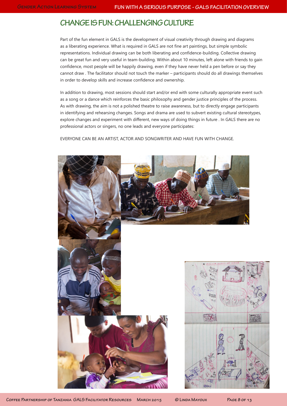## **CHANGE IS FUN: CHALLENGING CULTURE**

Part of the fun element in GALS is the development of visual creativity through drawing and diagrams as a liberating experience. What is required in GALS are not fine art paintings, but simple symbolic representations. Individual drawing can be both liberating and confidence-building. Collective drawing can be great fun and very useful in team-building. Within about 10 minutes, left alone with friends to gain confidence, most people will be happily drawing, even if they have never held a pen before or say they cannot draw . The facilitator should not touch the marker – participants should do all drawings themselves in order to develop skills and increase confidence and ownership.

In addition to drawing, most sessions should start and/or end with some culturally appropriate event such as a song or a dance which reinforces the basic philosophy and gender justice principles of the process. As with drawing, the aim is not a polished theatre to raise awareness, but to directly engage participants in identifying and rehearsing changes. Songs and drama are used to subvert existing cultural stereotypes, explore changes and experiment with different, new ways of doing things in future . In GALS there are no professional actors or singers, no one leads and everyone participates:

EVERYONE CAN BE AN ARTIST, ACTOR AND SONGWRITER AND HAVE FUN WITH CHANGE.

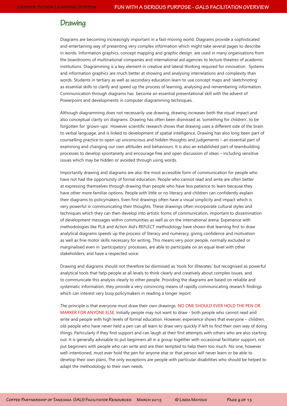## **Drawing**

Diagrams are becoming increasingly important in a fast-moving world. Diagrams provide a sophisticated and entertaining way of presenting very complex information which might take several pages to describe in words. Information graphics, concept mapping and graphic design are used in many organisations from the boardrooms of multinational companies and international aid agencies to lecture theatres of academic institutions. Diagramming is a key element in creative and lateral thinking required for innovation . Systems and information graphics are much better at showing and analysing interrelations and complexity than words. Students in tertiary as well as secondary education learn to use concept maps and 'sketchnoting' as essential skills to clarify and speed up the process of learning, analysing and remembering information. Communication through diagrams has become an essential presentational skill with the advent of Powerpoint and developments in computer diagramming techniques .

Although diagramming does not necessarily use drawing, drawing increases both the visual impact and also conceptual clarity on diagrams. Drawing has often been dismissed as 'something for children', to be forgotten for 'grown-ups'. However scientific research shows that drawing uses a different side of the brain to verbal language, and is linked to development of spatial intelligence. Drawing has also long been part of counselling practice to open up unconscious and hidden thoughts and judgements – an essential part of examining and changing our own attitudes and behaviours. It is also an established part of teambuilding processes to develop spontaneity and encourage free and open discussion of ideas – including sensitive issues which may be hidden or avoided through using words.

Importantly drawing and diagrams are also the most accessible form of communication for people who have not had the opportunity of formal education. People who cannot read and write are often better at expressing themselves through drawing than people who have less patience to learn because they have other more familiar options. People with little or no literacy and children can confidently explain their diagrams to policymakers. Even first drawings often have a visual simplicity and impact which is very powerful in communicating their thoughts. These drawings often incorporate cultural styles and techniques which they can then develop into artistic forms of communication, important to dissemination of development messages within communities as well as on the international arena. Experience with methodologies like PLA and Action Aid's REFLECT methodology have shown that learning first to draw analytical diagrams speeds up the process of literacy and numeracy, giving confidence and motivation as well as fine motor skills necessary for writing. This means very poor people, normally excluded or marginalised even in 'participatory' processes, are able to participate on an equal level with other stakeholders, and have a respected voice.

Drawing and diagrams should not therefore be dismissed as 'tools for illiterates' but recognised as powerful analytical tools that help people at all levels to think clearly and creatively about complex issues, and to communicate this analysis clearly to other people. Providing the diagrams are based on reliable and systematic information, they provide a very convincing means of rapidly communicating research findings which can interest very busy policymakers in reading a longer report.

The principle is that everyone must draw their own drawings. NO ONE SHOULD EVER HOLD THE PEN OR MARKER FOR ANYONE ELSE. Initially people may not want to draw - both people who cannot read and write and people with high levels of formal education. However, experience shows that everyone – children, old people who have never held a pen can all learn to draw very quickly if left to find their own way of doing things. Particularly if they find support and can laugh at their first attempts with others who are also starting out. It is generally advisable to put beginners all in a group together with occasional facilitator support, not put beginners with people who can write and are then tempted to help them too much. No one, however well-intentioned, must ever hold the pen for anyone else or that person will never learn or be able to develop their own plans. The only exceptions are people with particular disabilities who should be helped to adapt the methodology to their own needs.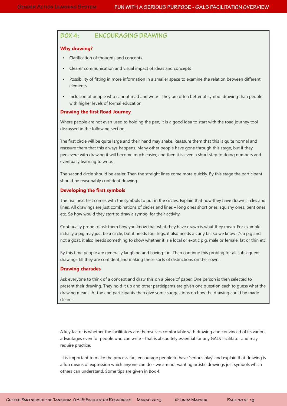#### **BOX 4: ENCOURAGING DRAWING**

#### **Why drawing?**

- Clarification of thoughts and concepts
- Clearer communication and visual impact of ideas and concepts
- Possibility of fitting in more information in a smaller space to examine the relation between different elements
- Inclusion of people who cannot read and write they are often better at symbol drawing than people with higher levels of formal education

#### **Drawing the first Road Journey**

Where people are not even used to holding the pen, it is a good idea to start with the road journey tool discussed in the following section.

The first circle will be quite large and their hand may shake. Reassure them that this is quite normal and reassure them that this always happens. Many other people have gone through this stage, but if they persevere with drawing it will become much easier, and then it is even a short step to doing numbers and eventually learning to write.

The second circle should be easier. Then the straight lines come more quickly. By this stage the participant should be reasonably confident drawing.

#### **Developing the first symbols**

The real next test comes with the symbols to put in the circles. Explain that now they have drawn circles and lines. All drawings are just combinations of circles and lines – long ones short ones, squishy ones, bent ones etc. So how would they start to draw a symbol for their activity.

Continually probe to ask them how you know that what they have drawn is what they mean. For example initially a pig may just be a circle, but it needs four legs, it also needs a curly tail so we know it's a pig and not a goat, it also needs something to show whether it is a local or exotic pig, male or female, fat or thin etc.

By this time people are generally laughing and having fun. Then continue this probing for all subsequent drawings till they are confident and making these sorts of distinctions on their own.

#### **Drawing charades**

Ask everyone to think of a concept and draw this on a piece of paper. One person is then selected to present their drawing. They hold it up and other participants are given one question each to guess what the drawing means. At the end participants then give some suggestions on how the drawing could be made clearer.

A key factor is whether the facilitators are themselves comfortable with drawing and convinced of its various advantages even for people who can write - that is absoultely essential for any GALS facilitator and may require practice.

It is important to make the process fun, encourage people to have 'serious play' and explain that drawing is a fun means of expression which anyone can do - we are not wanting artistic drawings just symbols which others can understand. Some tips are given in Box 4.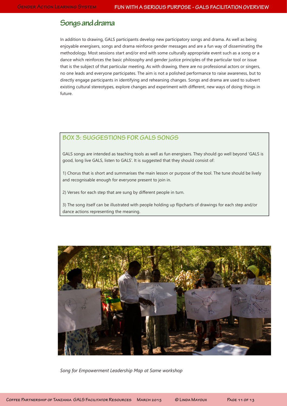## **Songs and drama**

In addition to drawing, GALS participants develop new participatory songs and drama. As well as being enjoyable energisers, songs and drama reinforce gender messages and are a fun way of disseminating the methodology. Most sessions start and/or end with some culturally appropriate event such as a song or a dance which reinforces the basic philosophy and gender justice principles of the particular tool or issue that is the subject of that particular meeting. As with drawing, there are no professional actors or singers, no one leads and everyone participates. The aim is not a polished performance to raise awareness, but to directly engage participants in identifying and rehearsing changes. Songs and drama are used to subvert existing cultural stereotypes, explore changes and experiment with different, new ways of doing things in future.

#### **BOX 3: SUGGESTIONS FOR GALS SONGS**

GALS songs are intended as teaching tools as well as fun energisers. They should go well beyond 'GALS is good, long live GALS, listen to GALS'. It is suggested that they should consist of:

1) Chorus that is short and summarises the main lesson or purpose of the tool. The tune should be lively and recognisable enough for everyone present to join in.

2) Verses for each step that are sung by different people in turn.

3) The song itself can be illustrated with people holding up flipcharts of drawings for each step and/or dance actions representing the meaning.



*Song for Empowerment Leadership Map at Same workshop*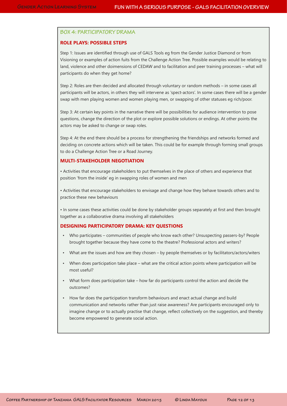#### **BOX 4: PARTICIPATORY DRAMA**

#### **ROLE PLAYS: POSSIBLE STEPS**

Step 1: Issues are identified through use of GALS Tools eg from the Gender Justice Diamond or from Visioning or examples of action fuits from the Challenge Action Tree. Possible examples would be relating to land, violence and other doimensions of CEDAW and to facilitation and peer training processes – what will participants do when they get home?

Step 2: Roles are then decided and allocated through voluntary or random methods – in some cases all participants will be actors, in others they will intervene as 'spect-actors'. In some cases there will be a gender swap with men playing women and women playing men, or swapping of other statuses eg rich/poor.

Step 3: At certain key points in the narrative there will be possibilities for audience intervention to pose questions, change the direction of the plot or explore possible solutions or endings. At other points the actors may be asked to change or swap roles.

Step 4: At the end there should be a process for strengthening the friendships and networks formed and deciding on concrete actions which will be taken. This could be for example through forming small groups to do a Challenge Action Tree or a Road Journey.

#### **MULTI-STAKEHOLDER NEGOTIATION**

• Activities that encourage stakeholders to put themselves in the place of others and experience that position 'from the inside' eg in swapping roles of women and men

• Activities that encourage stakeholders to envisage and change how they behave towards others and to practice these new behaviours

• In some cases these activities could be done by stakeholder groups separately at first and then brought together as a collaborative drama involving all stakeholders

#### **DESIGNING PARTICIPATORY DRAMA: KEY QUESTIONS**

- Who participates communities of people who know each other? Unsuspecting passers-by? People brought together because they have come to the theatre? Professional actors and writers?
- What are the issues and how are they chosen by people themselves or by facilitators/actors/witers
- When does participation take place what are the critical action points where participation will be most useful?
- What form does participation take how far do participants control the action and decide the outcomes?
- How far does the participation transform behaviours and enact actual change and build communication and networks rather than just raise awareness? Are participants encouraged only to imagine change or to actually practise that change, reflect collectively on the suggestion, and thereby become empowered to generate social action.